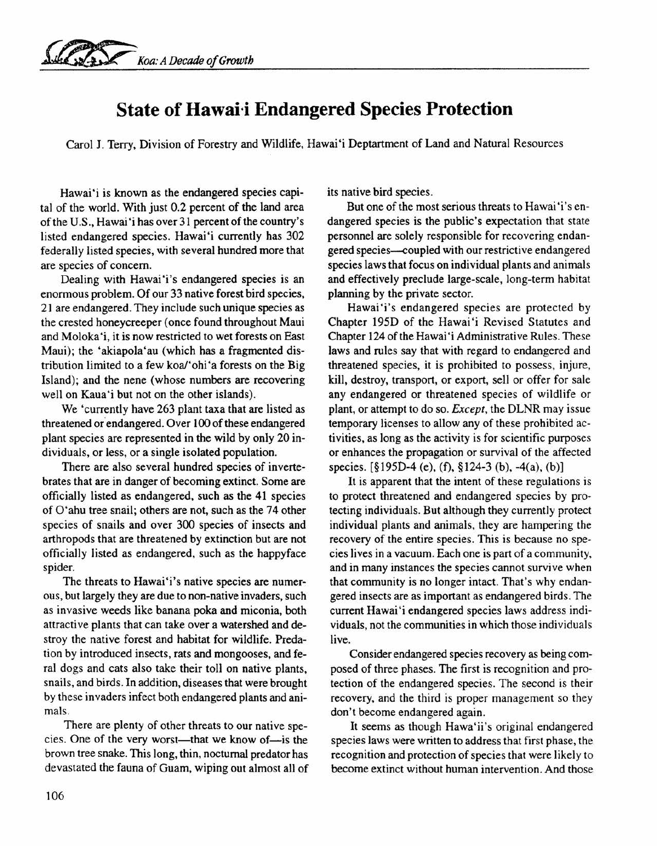

## **State of** Hawai-i **Endangered Species Protection**

Carol J. Terry, Division of Forestry and Wildlife, Hawai'i Deptartment of Land and Natural Resources

Hawai'i is known as the endangered species capital of the world. With just 0.2 percent of the land area of the U.S., Hawai'i has over 31 percent of the country's listed endangered species. Hawai'i currently has 302 federally listed species, with several hundred more that are species of concern.

Dealing with Hawai'i's endangered species is an enormous problem. Of our 33 native forest bird species, 21 are endangered. They include such unique species as the crested honeycreeper (once found throughout Maui and Moloka'i, it is now restricted to wet forests on East Maui); the 'akiapola'au (which has a fragmented distribution limited to a few koa/'ohi 'a forests on the Big Island); and the nene (whose numbers are recovering well on Kaua'i but not on the other islands).

We 'currently have 263 plant taxa that are listed as threatened or endangered. Over 100 of these endangered plant species are represented in the wild by only 20 individuals, or less, or a single isolated population.

There are also several hundred species of invertebrates that are in danger of becoming extinct. Some are officially listed as endangered, such as the 41 species of O'ahu tree snail; others are not, such as the 74 other species of snails and over 300 species of insects and arthropods that are threatened by extinction but are not officially listed as endangered, such as the happyface spider.

The threats to Hawai'i's native species are numerous, but largely they are due to non-native invaders, such as invasive weeds like banana poka and miconia, both attractive plants that can take over a watershed and destroy the native forest and habitat for wildlife. Predation by introduced insects, rats and mongooses, and feral dogs and cats also take their toll on native plants, snails, and birds. In addition, diseases that were brought by these invaders infect both endangered plants and animals.

There are plenty of other threats to our native species. One of the very worst-that we know of-is the brown tree snake. This long, thin, nocturnal predator has devastated the fauna of Guam, wiping out almost all of its native bird species.

But one of the most serious threats to Hawai'i's endangered species is the public's expectation that state personnel are solely responsible for recovering endangered species—coupled with our restrictive endangered species laws that focus on individual plants and animals and effectively preclude large-scale, long-term habitat planning by the private sector.

Hawai'i's endangered species are protected by Chapter 195D of the Hawai'i Revised Statutes and Chapter 124 of the Hawai'i Administrative Rules. These laws and rules say that with regard to endangered and threatened species, it is prohibited to possess, injure, kill, destroy, transport, or export, sell or offer for sale any endangered or threatened species of wildlife or plant, or attempt to do so. *Except,* the DLNR may issue temporary licenses to allow any of these prohibited activities, as long as the activity is for scientific purposes or enhances the propagation or survival of the affected species. [§195D-4 (e), (f), §124-3 (b), -4(a), (b)]

It is apparent that the intent of these regulations is to protect threatened and endangered species by protecting individuals. But although they currently protect individual plants and animals, they are hampering the recovery of the entire species. This is because no species lives in a vacuum. Each one is part of a community, and in many instances the species cannot survive when that community is no longer intact. That's why endangered insects are as important as endangered birds. The current Hawai'i endangered species laws address individuals, not the communities in which those individuals live.

Consider endangered species recovery as being composed of three phases. The first is recognition and protection of the endangered species. The second is their recovery, and the third is proper management so they don't become endangered again.

It seems as though Hawa'ii's original endangered species laws were written to address that first phase, the recognition and protection of species that were likely to become extinct without human intervention. And those